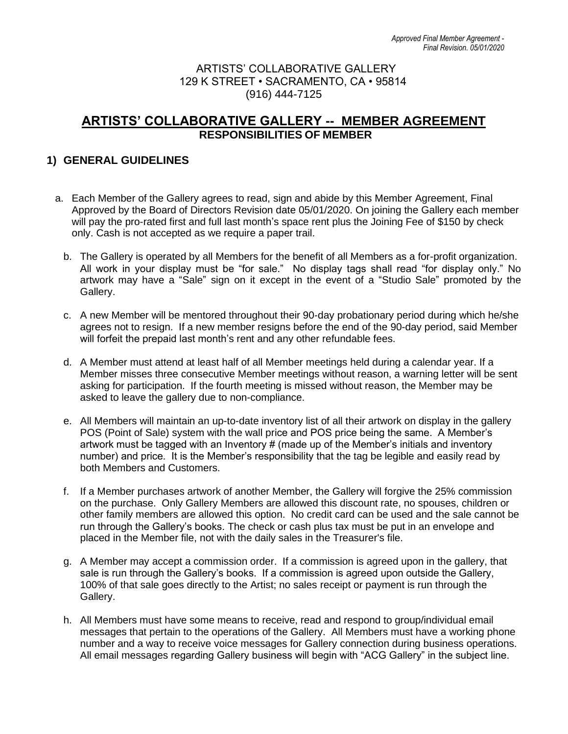## ARTISTS' COLLABORATIVE GALLERY 129 K STREET • SACRAMENTO, CA • 95814 (916) 444-7125

# **ARTISTS' COLLABORATIVE GALLERY -- MEMBER AGREEMENT RESPONSIBILITIES OF MEMBER**

# **1) GENERAL GUIDELINES**

- a. Each Member of the Gallery agrees to read, sign and abide by this Member Agreement, Final Approved by the Board of Directors Revision date 05/01/2020. On joining the Gallery each member will pay the pro-rated first and full last month's space rent plus the Joining Fee of \$150 by check only. Cash is not accepted as we require a paper trail.
	- b. The Gallery is operated by all Members for the benefit of all Members as a for-profit organization. All work in your display must be "for sale." No display tags shall read "for display only." No artwork may have a "Sale" sign on it except in the event of a "Studio Sale" promoted by the Gallery.
	- c. A new Member will be mentored throughout their 90-day probationary period during which he/she agrees not to resign. If a new member resigns before the end of the 90-day period, said Member will forfeit the prepaid last month's rent and any other refundable fees.
	- d. A Member must attend at least half of all Member meetings held during a calendar year. If a Member misses three consecutive Member meetings without reason, a warning letter will be sent asking for participation. If the fourth meeting is missed without reason, the Member may be asked to leave the gallery due to non-compliance.
	- e. All Members will maintain an up-to-date inventory list of all their artwork on display in the gallery POS (Point of Sale) system with the wall price and POS price being the same. A Member's artwork must be tagged with an Inventory # (made up of the Member's initials and inventory number) and price. It is the Member's responsibility that the tag be legible and easily read by both Members and Customers.
	- f. If a Member purchases artwork of another Member, the Gallery will forgive the 25% commission on the purchase. Only Gallery Members are allowed this discount rate, no spouses, children or other family members are allowed this option. No credit card can be used and the sale cannot be run through the Gallery's books. The check or cash plus tax must be put in an envelope and placed in the Member file, not with the daily sales in the Treasurer's file.
	- g. A Member may accept a commission order. If a commission is agreed upon in the gallery, that sale is run through the Gallery's books. If a commission is agreed upon outside the Gallery, 100% of that sale goes directly to the Artist; no sales receipt or payment is run through the Gallery.
	- h. All Members must have some means to receive, read and respond to group/individual email messages that pertain to the operations of the Gallery. All Members must have a working phone number and a way to receive voice messages for Gallery connection during business operations. All email messages regarding Gallery business will begin with "ACG Gallery" in the subject line.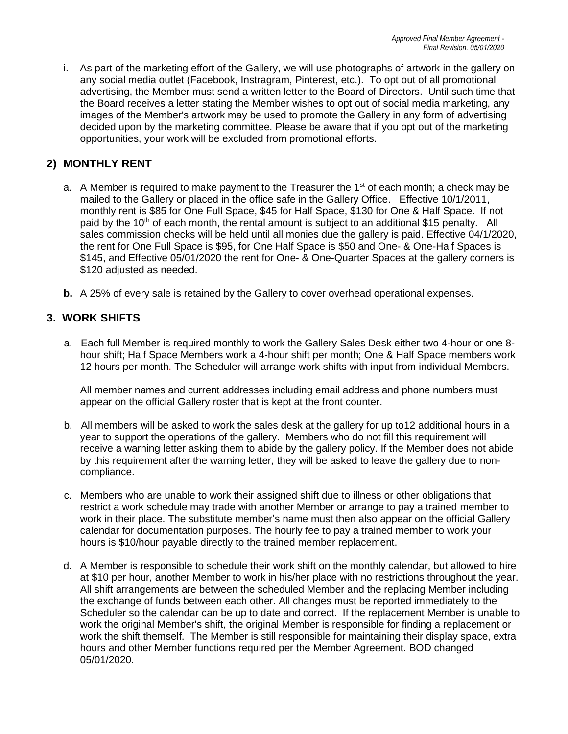i. As part of the marketing effort of the Gallery, we will use photographs of artwork in the gallery on any social media outlet (Facebook, Instragram, Pinterest, etc.). To opt out of all promotional advertising, the Member must send a written letter to the Board of Directors. Until such time that the Board receives a letter stating the Member wishes to opt out of social media marketing, any images of the Member's artwork may be used to promote the Gallery in any form of advertising decided upon by the marketing committee. Please be aware that if you opt out of the marketing opportunities, your work will be excluded from promotional efforts.

# **2) MONTHLY RENT**

- a. A Member is required to make payment to the Treasurer the  $1<sup>st</sup>$  of each month; a check may be mailed to the Gallery or placed in the office safe in the Gallery Office. Effective 10/1/2011, monthly rent is \$85 for One Full Space, \$45 for Half Space, \$130 for One & Half Space. If not paid by the  $10<sup>th</sup>$  of each month, the rental amount is subject to an additional \$15 penalty. All sales commission checks will be held until all monies due the gallery is paid. Effective 04/1/2020, the rent for One Full Space is \$95, for One Half Space is \$50 and One- & One-Half Spaces is \$145, and Effective 05/01/2020 the rent for One- & One-Quarter Spaces at the gallery corners is \$120 adjusted as needed.
- **b.** A 25% of every sale is retained by the Gallery to cover overhead operational expenses.

### **3. WORK SHIFTS**

 a. Each full Member is required monthly to work the Gallery Sales Desk either two 4-hour or one 8 hour shift; Half Space Members work a 4-hour shift per month; One & Half Space members work 12 hours per month. The Scheduler will arrange work shifts with input from individual Members.

All member names and current addresses including email address and phone numbers must appear on the official Gallery roster that is kept at the front counter.

- b. All members will be asked to work the sales desk at the gallery for up to12 additional hours in a year to support the operations of the gallery. Members who do not fill this requirement will receive a warning letter asking them to abide by the gallery policy. If the Member does not abide by this requirement after the warning letter, they will be asked to leave the gallery due to noncompliance.
- c. Members who are unable to work their assigned shift due to illness or other obligations that restrict a work schedule may trade with another Member or arrange to pay a trained member to work in their place. The substitute member's name must then also appear on the official Gallery calendar for documentation purposes. The hourly fee to pay a trained member to work your hours is \$10/hour payable directly to the trained member replacement.
- d. A Member is responsible to schedule their work shift on the monthly calendar, but allowed to hire at \$10 per hour, another Member to work in his/her place with no restrictions throughout the year. All shift arrangements are between the scheduled Member and the replacing Member including the exchange of funds between each other. All changes must be reported immediately to the Scheduler so the calendar can be up to date and correct. If the replacement Member is unable to work the original Member's shift, the original Member is responsible for finding a replacement or work the shift themself. The Member is still responsible for maintaining their display space, extra hours and other Member functions required per the Member Agreement. BOD changed 05/01/2020.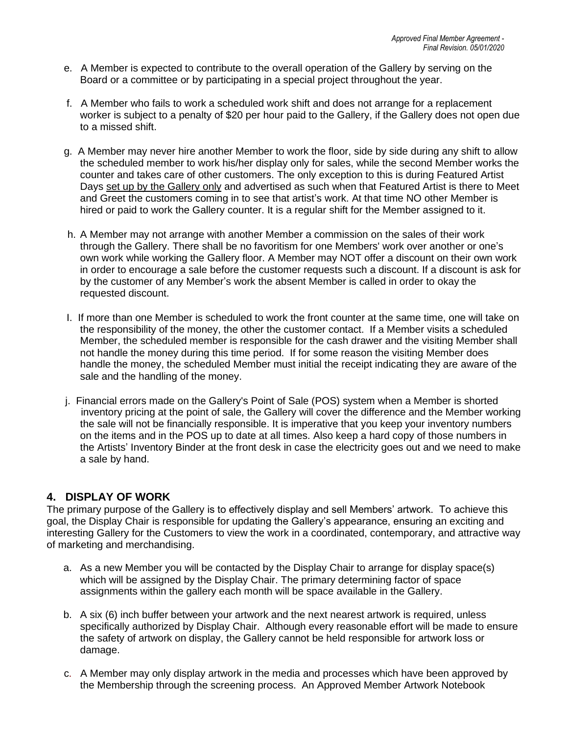- e. A Member is expected to contribute to the overall operation of the Gallery by serving on the Board or a committee or by participating in a special project throughout the year.
- f. A Member who fails to work a scheduled work shift and does not arrange for a replacement worker is subject to a penalty of \$20 per hour paid to the Gallery, if the Gallery does not open due to a missed shift.
- g. A Member may never hire another Member to work the floor, side by side during any shift to allow the scheduled member to work his/her display only for sales, while the second Member works the counter and takes care of other customers. The only exception to this is during Featured Artist Days set up by the Gallery only and advertised as such when that Featured Artist is there to Meet and Greet the customers coming in to see that artist's work. At that time NO other Member is hired or paid to work the Gallery counter. It is a regular shift for the Member assigned to it.
- h. A Member may not arrange with another Member a commission on the sales of their work through the Gallery. There shall be no favoritism for one Members' work over another or one's own work while working the Gallery floor. A Member may NOT offer a discount on their own work in order to encourage a sale before the customer requests such a discount. If a discount is ask for by the customer of any Member's work the absent Member is called in order to okay the requested discount.
- I. If more than one Member is scheduled to work the front counter at the same time, one will take on the responsibility of the money, the other the customer contact. If a Member visits a scheduled Member, the scheduled member is responsible for the cash drawer and the visiting Member shall not handle the money during this time period. If for some reason the visiting Member does handle the money, the scheduled Member must initial the receipt indicating they are aware of the sale and the handling of the money.
- j. Financial errors made on the Gallery's Point of Sale (POS) system when a Member is shorted inventory pricing at the point of sale, the Gallery will cover the difference and the Member working the sale will not be financially responsible. It is imperative that you keep your inventory numbers on the items and in the POS up to date at all times. Also keep a hard copy of those numbers in the Artists' Inventory Binder at the front desk in case the electricity goes out and we need to make a sale by hand.

### **4. DISPLAY OF WORK**

The primary purpose of the Gallery is to effectively display and sell Members' artwork. To achieve this goal, the Display Chair is responsible for updating the Gallery's appearance, ensuring an exciting and interesting Gallery for the Customers to view the work in a coordinated, contemporary, and attractive way of marketing and merchandising.

- a. As a new Member you will be contacted by the Display Chair to arrange for display space(s) which will be assigned by the Display Chair. The primary determining factor of space assignments within the gallery each month will be space available in the Gallery.
- b. A six (6) inch buffer between your artwork and the next nearest artwork is required, unless specifically authorized by Display Chair. Although every reasonable effort will be made to ensure the safety of artwork on display, the Gallery cannot be held responsible for artwork loss or damage.
- c. A Member may only display artwork in the media and processes which have been approved by the Membership through the screening process. An Approved Member Artwork Notebook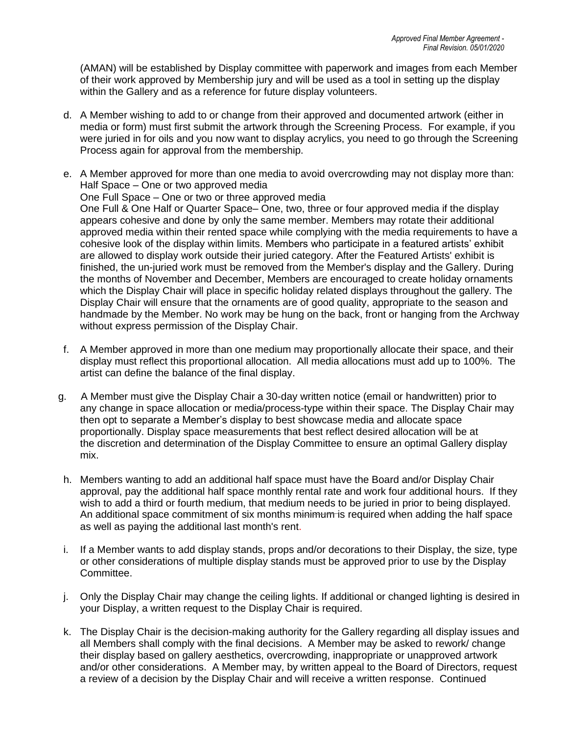(AMAN) will be established by Display committee with paperwork and images from each Member of their work approved by Membership jury and will be used as a tool in setting up the display within the Gallery and as a reference for future display volunteers.

- d. A Member wishing to add to or change from their approved and documented artwork (either in media or form) must first submit the artwork through the Screening Process. For example, if you were juried in for oils and you now want to display acrylics, you need to go through the Screening Process again for approval from the membership.
- e. A Member approved for more than one media to avoid overcrowding may not display more than: Half Space – One or two approved media One Full Space – One or two or three approved media One Full & One Half or Quarter Space– One, two, three or four approved media if the display appears cohesive and done by only the same member. Members may rotate their additional approved media within their rented space while complying with the media requirements to have a cohesive look of the display within limits. Members who participate in a featured artists' exhibit are allowed to display work outside their juried category. After the Featured Artists' exhibit is finished, the un-juried work must be removed from the Member's display and the Gallery. During the months of November and December, Members are encouraged to create holiday ornaments which the Display Chair will place in specific holiday related displays throughout the gallery. The Display Chair will ensure that the ornaments are of good quality, appropriate to the season and handmade by the Member. No work may be hung on the back, front or hanging from the Archway without express permission of the Display Chair.
- f. A Member approved in more than one medium may proportionally allocate their space, and their display must reflect this proportional allocation. All media allocations must add up to 100%. The artist can define the balance of the final display.
- g. A Member must give the Display Chair a 30-day written notice (email or handwritten) prior to any change in space allocation or media/process-type within their space. The Display Chair may then opt to separate a Member's display to best showcase media and allocate space proportionally. Display space measurements that best reflect desired allocation will be at the discretion and determination of the Display Committee to ensure an optimal Gallery display mix.
- h. Members wanting to add an additional half space must have the Board and/or Display Chair approval, pay the additional half space monthly rental rate and work four additional hours. If they wish to add a third or fourth medium, that medium needs to be juried in prior to being displayed. An additional space commitment of six months minimum is required when adding the half space as well as paying the additional last month's rent.
- i. If a Member wants to add display stands, props and/or decorations to their Display, the size, type or other considerations of multiple display stands must be approved prior to use by the Display Committee.
- j. Only the Display Chair may change the ceiling lights. If additional or changed lighting is desired in your Display, a written request to the Display Chair is required.
- k. The Display Chair is the decision-making authority for the Gallery regarding all display issues and all Members shall comply with the final decisions. A Member may be asked to rework/ change their display based on gallery aesthetics, overcrowding, inappropriate or unapproved artwork and/or other considerations. A Member may, by written appeal to the Board of Directors, request a review of a decision by the Display Chair and will receive a written response. Continued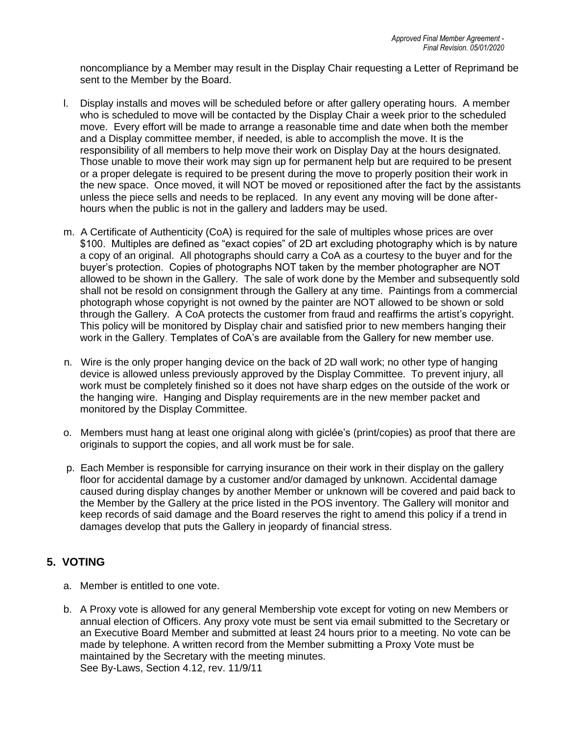noncompliance by a Member may result in the Display Chair requesting a Letter of Reprimand be sent to the Member by the Board.

- l. Display installs and moves will be scheduled before or after gallery operating hours. A member who is scheduled to move will be contacted by the Display Chair a week prior to the scheduled move. Every effort will be made to arrange a reasonable time and date when both the member and a Display committee member, if needed, is able to accomplish the move. It is the responsibility of all members to help move their work on Display Day at the hours designated. Those unable to move their work may sign up for permanent help but are required to be present or a proper delegate is required to be present during the move to properly position their work in the new space. Once moved, it will NOT be moved or repositioned after the fact by the assistants unless the piece sells and needs to be replaced. In any event any moving will be done afterhours when the public is not in the gallery and ladders may be used.
- m. A Certificate of Authenticity (CoA) is required for the sale of multiples whose prices are over \$100. Multiples are defined as "exact copies" of 2D art excluding photography which is by nature a copy of an original. All photographs should carry a CoA as a courtesy to the buyer and for the buyer's protection. Copies of photographs NOT taken by the member photographer are NOT allowed to be shown in the Gallery. The sale of work done by the Member and subsequently sold shall not be resold on consignment through the Gallery at any time. Paintings from a commercial photograph whose copyright is not owned by the painter are NOT allowed to be shown or sold through the Gallery. A CoA protects the customer from fraud and reaffirms the artist's copyright. This policy will be monitored by Display chair and satisfied prior to new members hanging their work in the Gallery. Templates of CoA's are available from the Gallery for new member use.
- n. Wire is the only proper hanging device on the back of 2D wall work; no other type of hanging device is allowed unless previously approved by the Display Committee. To prevent injury, all work must be completely finished so it does not have sharp edges on the outside of the work or the hanging wire. Hanging and Display requirements are in the new member packet and monitored by the Display Committee.
- o. Members must hang at least one original along with giclée's (print/copies) as proof that there are originals to support the copies, and all work must be for sale.
- p. Each Member is responsible for carrying insurance on their work in their display on the gallery floor for accidental damage by a customer and/or damaged by unknown. Accidental damage caused during display changes by another Member or unknown will be covered and paid back to the Member by the Gallery at the price listed in the POS inventory. The Gallery will monitor and keep records of said damage and the Board reserves the right to amend this policy if a trend in damages develop that puts the Gallery in jeopardy of financial stress.

# **5. VOTING**

- a. Member is entitled to one vote.
- b. A Proxy vote is allowed for any general Membership vote except for voting on new Members or annual election of Officers. Any proxy vote must be sent via email submitted to the Secretary or an Executive Board Member and submitted at least 24 hours prior to a meeting. No vote can be made by telephone. A written record from the Member submitting a Proxy Vote must be maintained by the Secretary with the meeting minutes. See By-Laws, Section 4.12, rev. 11/9/11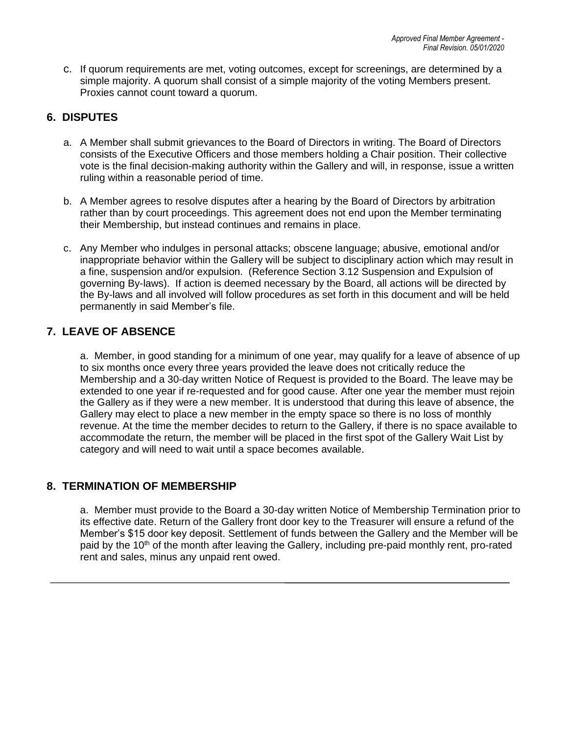c. If quorum requirements are met, voting outcomes, except for screenings, are determined by a simple majority. A quorum shall consist of a simple majority of the voting Members present. Proxies cannot count toward a quorum.

# **6. DISPUTES**

- a. A Member shall submit grievances to the Board of Directors in writing. The Board of Directors consists of the Executive Officers and those members holding a Chair position. Their collective vote is the final decision-making authority within the Gallery and will, in response, issue a written ruling within a reasonable period of time.
- b. A Member agrees to resolve disputes after a hearing by the Board of Directors by arbitration rather than by court proceedings. This agreement does not end upon the Member terminating their Membership, but instead continues and remains in place.
- c. Any Member who indulges in personal attacks; obscene language; abusive, emotional and/or inappropriate behavior within the Gallery will be subject to disciplinary action which may result in a fine, suspension and/or expulsion. (Reference Section 3.12 Suspension and Expulsion of governing By-laws). If action is deemed necessary by the Board, all actions will be directed by the By-laws and all involved will follow procedures as set forth in this document and will be held permanently in said Member's file.

### **7. LEAVE OF ABSENCE**

a. Member, in good standing for a minimum of one year, may qualify for a leave of absence of up to six months once every three years provided the leave does not critically reduce the Membership and a 30-day written Notice of Request is provided to the Board. The leave may be extended to one year if re-requested and for good cause. After one year the member must rejoin the Gallery as if they were a new member. It is understood that during this leave of absence, the Gallery may elect to place a new member in the empty space so there is no loss of monthly revenue. At the time the member decides to return to the Gallery, if there is no space available to accommodate the return, the member will be placed in the first spot of the Gallery Wait List by category and will need to wait until a space becomes available.

### **8. TERMINATION OF MEMBERSHIP**

a. Member must provide to the Board a 30-day written Notice of Membership Termination prior to its effective date. Return of the Gallery front door key to the Treasurer will ensure a refund of the Member's \$15 door key deposit. Settlement of funds between the Gallery and the Member will be paid by the 10<sup>th</sup> of the month after leaving the Gallery, including pre-paid monthly rent, pro-rated rent and sales, minus any unpaid rent owed.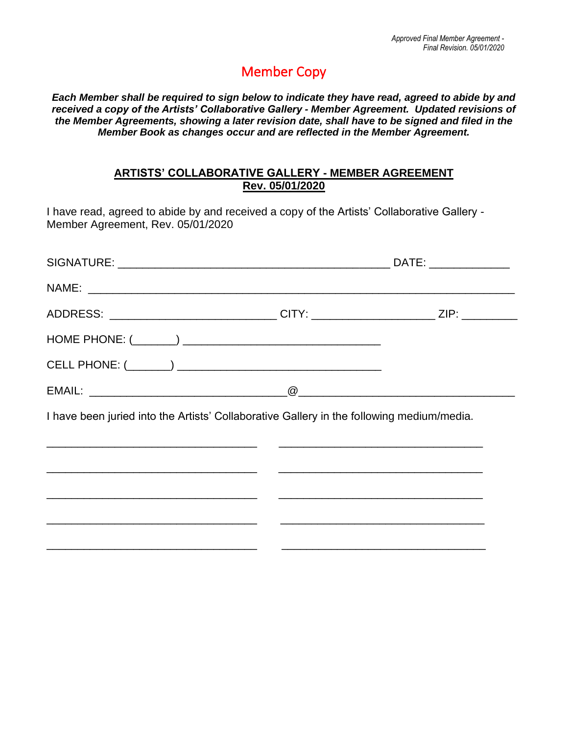# Member Copy

*Each Member shall be required to sign below to indicate they have read, agreed to abide by and received a copy of the Artists' Collaborative Gallery - Member Agreement. Updated revisions of the Member Agreements, showing a later revision date, shall have to be signed and filed in the Member Book as changes occur and are reflected in the Member Agreement.*

### **ARTISTS' COLLABORATIVE GALLERY - MEMBER AGREEMENT Rev. 05/01/2020**

I have read, agreed to abide by and received a copy of the Artists' Collaborative Gallery - Member Agreement, Rev. 05/01/2020

| ADDRESS: _____________________________CITY: ______________________ZIP: _________          |  |
|-------------------------------------------------------------------------------------------|--|
|                                                                                           |  |
|                                                                                           |  |
|                                                                                           |  |
| I have been juried into the Artists' Collaborative Gallery in the following medium/media. |  |
|                                                                                           |  |
| <u> 1990 - Jan Barnett, mars et al. 1990 - Jan Barnett, fransk konstantiner (d. 1990)</u> |  |
|                                                                                           |  |

\_\_\_\_\_\_\_\_\_\_\_\_\_\_\_\_\_\_\_\_\_\_\_\_\_\_\_\_\_\_\_\_\_\_ \_\_\_\_\_\_\_\_\_\_\_\_\_\_\_\_\_\_\_\_\_\_\_\_\_\_\_\_\_\_\_\_\_

\_\_\_\_\_\_\_\_\_\_\_\_\_\_\_\_\_\_\_\_\_\_\_\_\_\_\_\_\_\_\_\_\_\_ \_\_\_\_\_\_\_\_\_\_\_\_\_\_\_\_\_\_\_\_\_\_\_\_\_\_\_\_\_\_\_\_\_